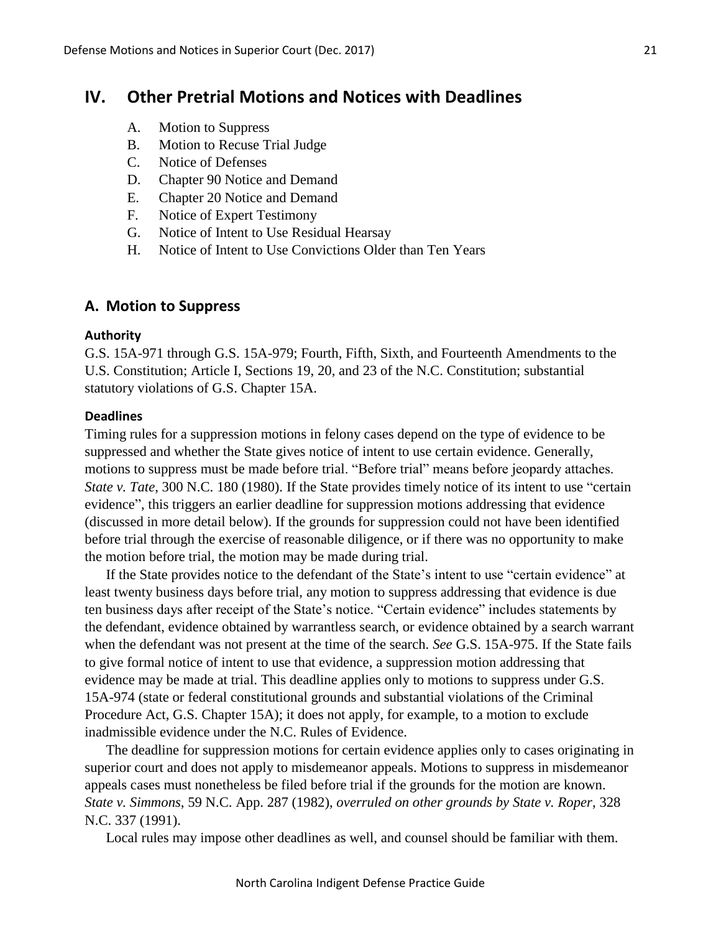# **IV. Other Pretrial Motions and Notices with Deadlines**

- A. Motion to Suppress
- B. Motion to Recuse Trial Judge
- C. Notice of Defenses
- D. Chapter 90 Notice and Demand
- E. Chapter 20 Notice and Demand
- F. Notice of Expert Testimony
- G. Notice of Intent to Use Residual Hearsay
- H. Notice of Intent to Use Convictions Older than Ten Years

### **A. Motion to Suppress**

#### **Authority**

G.S. 15A-971 through G.S. 15A-979; Fourth, Fifth, Sixth, and Fourteenth Amendments to the U.S. Constitution; Article I, Sections 19, 20, and 23 of the N.C. Constitution; substantial statutory violations of G.S. Chapter 15A.

### **Deadlines**

Timing rules for a suppression motions in felony cases depend on the type of evidence to be suppressed and whether the State gives notice of intent to use certain evidence. Generally, motions to suppress must be made before trial. "Before trial" means before jeopardy attaches. *State v. Tate*, 300 N.C. 180 (1980). If the State provides timely notice of its intent to use "certain" evidence", this triggers an earlier deadline for suppression motions addressing that evidence (discussed in more detail below). If the grounds for suppression could not have been identified before trial through the exercise of reasonable diligence, or if there was no opportunity to make the motion before trial, the motion may be made during trial.

If the State provides notice to the defendant of the State's intent to use "certain evidence" at least twenty business days before trial, any motion to suppress addressing that evidence is due ten business days after receipt of the State's notice. "Certain evidence" includes statements by the defendant, evidence obtained by warrantless search, or evidence obtained by a search warrant when the defendant was not present at the time of the search. *See* G.S. 15A-975. If the State fails to give formal notice of intent to use that evidence, a suppression motion addressing that evidence may be made at trial. This deadline applies only to motions to suppress under G.S. 15A-974 (state or federal constitutional grounds and substantial violations of the Criminal Procedure Act, G.S. Chapter 15A); it does not apply, for example, to a motion to exclude inadmissible evidence under the N.C. Rules of Evidence.

The deadline for suppression motions for certain evidence applies only to cases originating in superior court and does not apply to misdemeanor appeals. Motions to suppress in misdemeanor appeals cases must nonetheless be filed before trial if the grounds for the motion are known. *State v. Simmons*, 59 N.C. App. 287 (1982), *overruled on other grounds by State v. Roper*, 328 N.C. 337 (1991).

Local rules may impose other deadlines as well, and counsel should be familiar with them.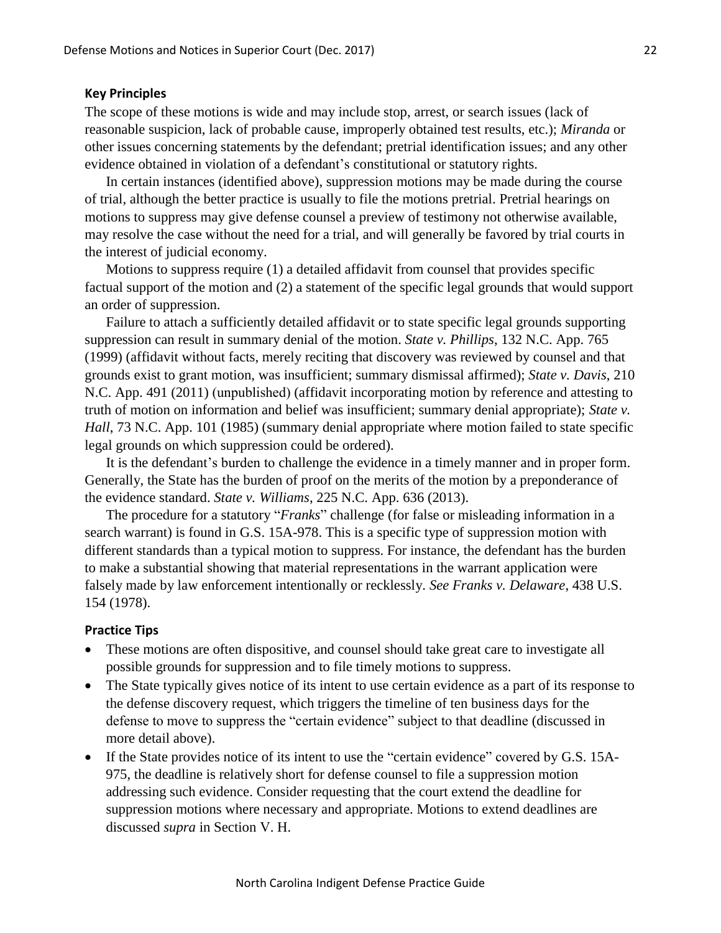#### **Key Principles**

The scope of these motions is wide and may include stop, arrest, or search issues (lack of reasonable suspicion, lack of probable cause, improperly obtained test results, etc.); *Miranda* or other issues concerning statements by the defendant; pretrial identification issues; and any other evidence obtained in violation of a defendant's constitutional or statutory rights.

In certain instances (identified above), suppression motions may be made during the course of trial, although the better practice is usually to file the motions pretrial. Pretrial hearings on motions to suppress may give defense counsel a preview of testimony not otherwise available, may resolve the case without the need for a trial, and will generally be favored by trial courts in the interest of judicial economy.

Motions to suppress require (1) a detailed affidavit from counsel that provides specific factual support of the motion and (2) a statement of the specific legal grounds that would support an order of suppression.

Failure to attach a sufficiently detailed affidavit or to state specific legal grounds supporting suppression can result in summary denial of the motion. *State v. Phillips*, 132 N.C. App. 765 (1999) (affidavit without facts, merely reciting that discovery was reviewed by counsel and that grounds exist to grant motion, was insufficient; summary dismissal affirmed); *State v. Davis*, 210 N.C. App. 491 (2011) (unpublished) (affidavit incorporating motion by reference and attesting to truth of motion on information and belief was insufficient; summary denial appropriate); *State v. Hall*, 73 N.C. App. 101 (1985) (summary denial appropriate where motion failed to state specific legal grounds on which suppression could be ordered).

It is the defendant's burden to challenge the evidence in a timely manner and in proper form. Generally, the State has the burden of proof on the merits of the motion by a preponderance of the evidence standard. *State v. Williams*, 225 N.C. App. 636 (2013).

The procedure for a statutory "*Franks*" challenge (for false or misleading information in a search warrant) is found in G.S. 15A-978. This is a specific type of suppression motion with different standards than a typical motion to suppress. For instance, the defendant has the burden to make a substantial showing that material representations in the warrant application were falsely made by law enforcement intentionally or recklessly. *See Franks v. Delaware*, 438 U.S. 154 (1978).

#### **Practice Tips**

- These motions are often dispositive, and counsel should take great care to investigate all possible grounds for suppression and to file timely motions to suppress.
- The State typically gives notice of its intent to use certain evidence as a part of its response to the defense discovery request, which triggers the timeline of ten business days for the defense to move to suppress the "certain evidence" subject to that deadline (discussed in more detail above).
- If the State provides notice of its intent to use the "certain evidence" covered by G.S. 15A-975, the deadline is relatively short for defense counsel to file a suppression motion addressing such evidence. Consider requesting that the court extend the deadline for suppression motions where necessary and appropriate. Motions to extend deadlines are discussed *supra* in Section V. H.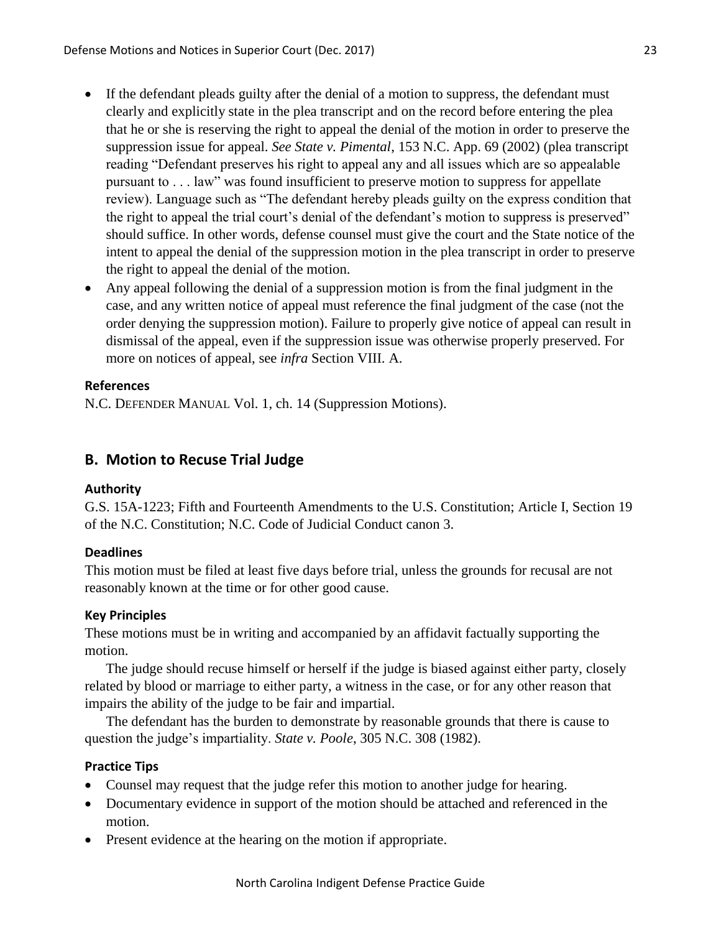- If the defendant pleads guilty after the denial of a motion to suppress, the defendant must clearly and explicitly state in the plea transcript and on the record before entering the plea that he or she is reserving the right to appeal the denial of the motion in order to preserve the suppression issue for appeal. *See State v. Pimental*, 153 N.C. App. 69 (2002) (plea transcript reading "Defendant preserves his right to appeal any and all issues which are so appealable pursuant to . . . law" was found insufficient to preserve motion to suppress for appellate review). Language such as "The defendant hereby pleads guilty on the express condition that the right to appeal the trial court's denial of the defendant's motion to suppress is preserved" should suffice. In other words, defense counsel must give the court and the State notice of the intent to appeal the denial of the suppression motion in the plea transcript in order to preserve the right to appeal the denial of the motion.
- Any appeal following the denial of a suppression motion is from the final judgment in the case, and any written notice of appeal must reference the final judgment of the case (not the order denying the suppression motion). Failure to properly give notice of appeal can result in dismissal of the appeal, even if the suppression issue was otherwise properly preserved. For more on notices of appeal, see *infra* Section VIII. A.

## **References**

N.C. DEFENDER MANUAL Vol. 1, ch. 14 (Suppression Motions).

# **B. Motion to Recuse Trial Judge**

## **Authority**

G.S. 15A-1223; Fifth and Fourteenth Amendments to the U.S. Constitution; Article I, Section 19 of the N.C. Constitution; N.C. Code of Judicial Conduct canon 3.

## **Deadlines**

This motion must be filed at least five days before trial, unless the grounds for recusal are not reasonably known at the time or for other good cause.

## **Key Principles**

These motions must be in writing and accompanied by an affidavit factually supporting the motion.

The judge should recuse himself or herself if the judge is biased against either party, closely related by blood or marriage to either party, a witness in the case, or for any other reason that impairs the ability of the judge to be fair and impartial.

The defendant has the burden to demonstrate by reasonable grounds that there is cause to question the judge's impartiality. *State v. Poole*, 305 N.C. 308 (1982).

## **Practice Tips**

- Counsel may request that the judge refer this motion to another judge for hearing.
- Documentary evidence in support of the motion should be attached and referenced in the motion.
- Present evidence at the hearing on the motion if appropriate.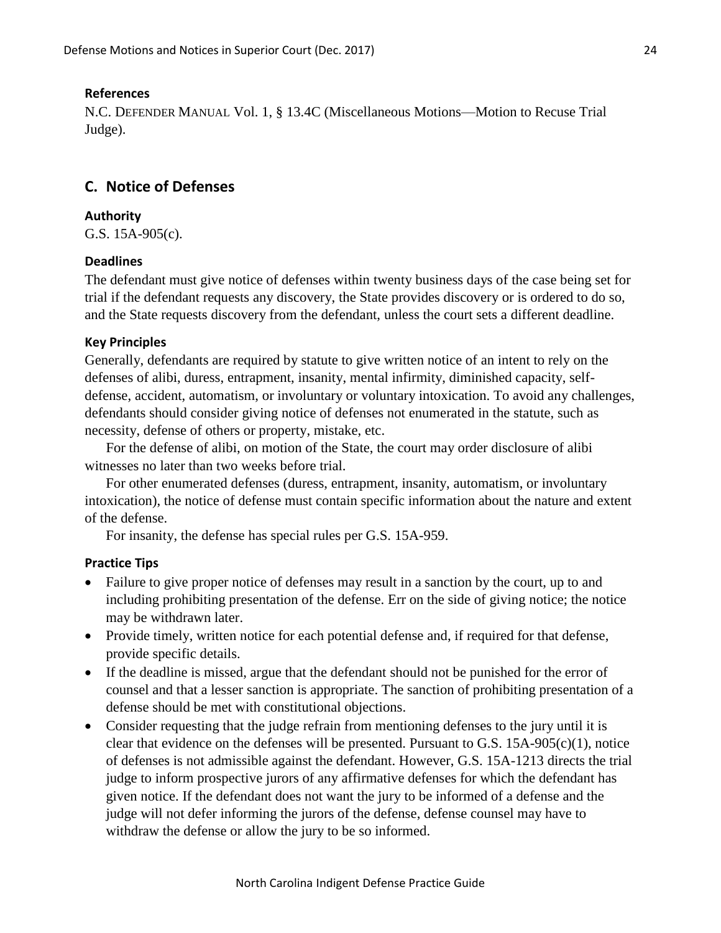#### **References**

N.C. DEFENDER MANUAL Vol. 1, § 13.4C (Miscellaneous Motions—Motion to Recuse Trial Judge).

# **C. Notice of Defenses**

### **Authority**

G.S. 15A-905(c).

## **Deadlines**

The defendant must give notice of defenses within twenty business days of the case being set for trial if the defendant requests any discovery, the State provides discovery or is ordered to do so, and the State requests discovery from the defendant, unless the court sets a different deadline.

### **Key Principles**

Generally, defendants are required by statute to give written notice of an intent to rely on the defenses of alibi, duress, entrapment, insanity, mental infirmity, diminished capacity, selfdefense, accident, automatism, or involuntary or voluntary intoxication. To avoid any challenges, defendants should consider giving notice of defenses not enumerated in the statute, such as necessity, defense of others or property, mistake, etc.

For the defense of alibi, on motion of the State, the court may order disclosure of alibi witnesses no later than two weeks before trial.

For other enumerated defenses (duress, entrapment, insanity, automatism, or involuntary intoxication), the notice of defense must contain specific information about the nature and extent of the defense.

For insanity, the defense has special rules per G.S. 15A-959.

### **Practice Tips**

- Failure to give proper notice of defenses may result in a sanction by the court, up to and including prohibiting presentation of the defense. Err on the side of giving notice; the notice may be withdrawn later.
- Provide timely, written notice for each potential defense and, if required for that defense, provide specific details.
- If the deadline is missed, argue that the defendant should not be punished for the error of counsel and that a lesser sanction is appropriate. The sanction of prohibiting presentation of a defense should be met with constitutional objections.
- Consider requesting that the judge refrain from mentioning defenses to the jury until it is clear that evidence on the defenses will be presented. Pursuant to G.S. 15A-905(c)(1), notice of defenses is not admissible against the defendant. However, G.S. 15A-1213 directs the trial judge to inform prospective jurors of any affirmative defenses for which the defendant has given notice. If the defendant does not want the jury to be informed of a defense and the judge will not defer informing the jurors of the defense, defense counsel may have to withdraw the defense or allow the jury to be so informed.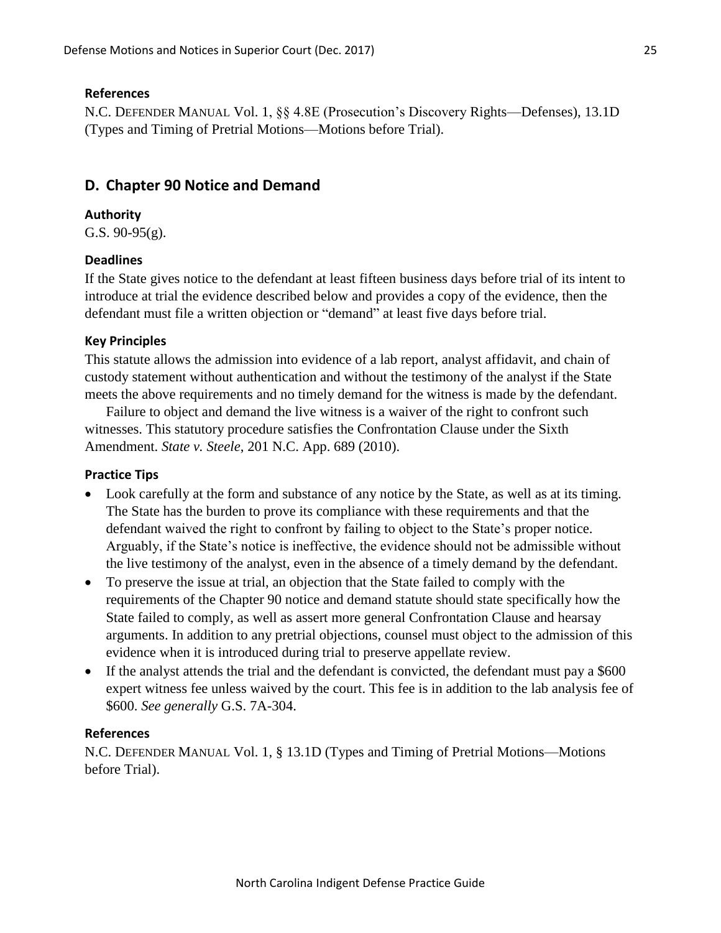## **References**

N.C. DEFENDER MANUAL Vol. 1, §§ 4.8E (Prosecution's Discovery Rights—Defenses), 13.1D (Types and Timing of Pretrial Motions—Motions before Trial).

# **D. Chapter 90 Notice and Demand**

## **Authority**

G.S. 90-95(g).

## **Deadlines**

If the State gives notice to the defendant at least fifteen business days before trial of its intent to introduce at trial the evidence described below and provides a copy of the evidence, then the defendant must file a written objection or "demand" at least five days before trial.

## **Key Principles**

This statute allows the admission into evidence of a lab report, analyst affidavit, and chain of custody statement without authentication and without the testimony of the analyst if the State meets the above requirements and no timely demand for the witness is made by the defendant.

Failure to object and demand the live witness is a waiver of the right to confront such witnesses. This statutory procedure satisfies the Confrontation Clause under the Sixth Amendment. *State v. Steele*, 201 N.C. App. 689 (2010).

## **Practice Tips**

- Look carefully at the form and substance of any notice by the State, as well as at its timing. The State has the burden to prove its compliance with these requirements and that the defendant waived the right to confront by failing to object to the State's proper notice. Arguably, if the State's notice is ineffective, the evidence should not be admissible without the live testimony of the analyst, even in the absence of a timely demand by the defendant.
- To preserve the issue at trial, an objection that the State failed to comply with the requirements of the Chapter 90 notice and demand statute should state specifically how the State failed to comply, as well as assert more general Confrontation Clause and hearsay arguments. In addition to any pretrial objections, counsel must object to the admission of this evidence when it is introduced during trial to preserve appellate review.
- If the analyst attends the trial and the defendant is convicted, the defendant must pay a \$600 expert witness fee unless waived by the court. This fee is in addition to the lab analysis fee of \$600. *See generally* G.S. 7A-304.

## **References**

N.C. DEFENDER MANUAL Vol. 1, § 13.1D (Types and Timing of Pretrial Motions—Motions before Trial).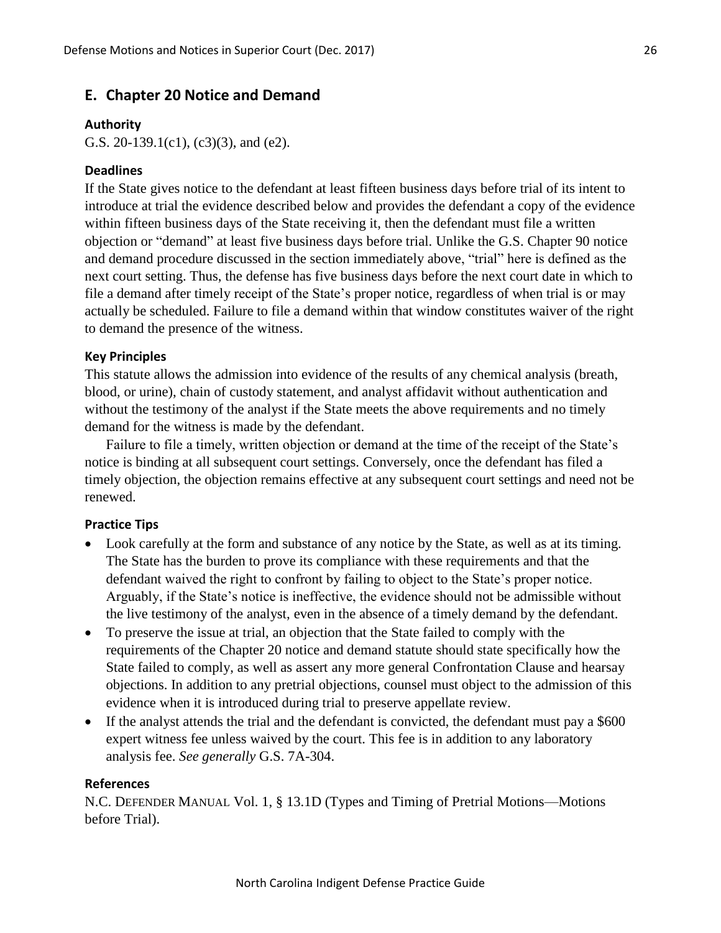### **E. Chapter 20 Notice and Demand**

#### **Authority**

G.S. 20-139.1(c1), (c3)(3), and (e2).

#### **Deadlines**

If the State gives notice to the defendant at least fifteen business days before trial of its intent to introduce at trial the evidence described below and provides the defendant a copy of the evidence within fifteen business days of the State receiving it, then the defendant must file a written objection or "demand" at least five business days before trial. Unlike the G.S. Chapter 90 notice and demand procedure discussed in the section immediately above, "trial" here is defined as the next court setting. Thus, the defense has five business days before the next court date in which to file a demand after timely receipt of the State's proper notice, regardless of when trial is or may actually be scheduled. Failure to file a demand within that window constitutes waiver of the right to demand the presence of the witness.

### **Key Principles**

This statute allows the admission into evidence of the results of any chemical analysis (breath, blood, or urine), chain of custody statement, and analyst affidavit without authentication and without the testimony of the analyst if the State meets the above requirements and no timely demand for the witness is made by the defendant.

Failure to file a timely, written objection or demand at the time of the receipt of the State's notice is binding at all subsequent court settings. Conversely, once the defendant has filed a timely objection, the objection remains effective at any subsequent court settings and need not be renewed.

### **Practice Tips**

- Look carefully at the form and substance of any notice by the State, as well as at its timing. The State has the burden to prove its compliance with these requirements and that the defendant waived the right to confront by failing to object to the State's proper notice. Arguably, if the State's notice is ineffective, the evidence should not be admissible without the live testimony of the analyst, even in the absence of a timely demand by the defendant.
- To preserve the issue at trial, an objection that the State failed to comply with the requirements of the Chapter 20 notice and demand statute should state specifically how the State failed to comply, as well as assert any more general Confrontation Clause and hearsay objections. In addition to any pretrial objections, counsel must object to the admission of this evidence when it is introduced during trial to preserve appellate review.
- If the analyst attends the trial and the defendant is convicted, the defendant must pay a \$600 expert witness fee unless waived by the court. This fee is in addition to any laboratory analysis fee. *See generally* G.S. 7A-304.

#### **References**

N.C. DEFENDER MANUAL Vol. 1, § 13.1D (Types and Timing of Pretrial Motions—Motions before Trial).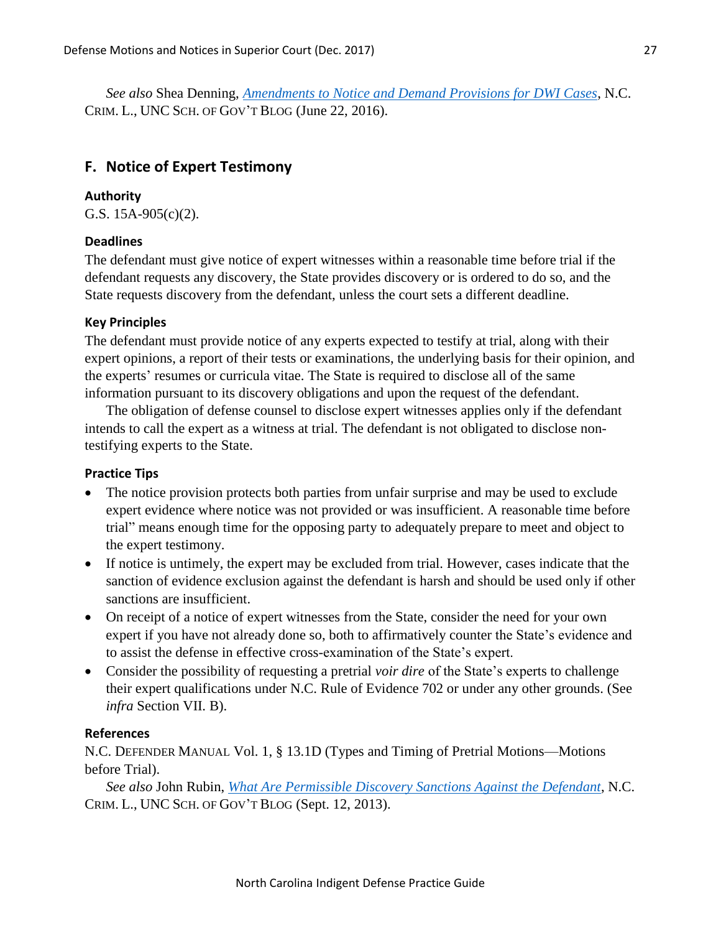*See also* Shea Denning, *[Amendments to Notice and Demand Provisions for DWI Cases](https://nccriminallaw.sog.unc.edu/amendments-notice-demand-provisions-dwi-cases/)*, N.C. CRIM. L., UNC SCH. OF GOV'T BLOG (June 22, 2016).

## **F. Notice of Expert Testimony**

#### **Authority**

G.S. 15A-905(c)(2).

### **Deadlines**

The defendant must give notice of expert witnesses within a reasonable time before trial if the defendant requests any discovery, the State provides discovery or is ordered to do so, and the State requests discovery from the defendant, unless the court sets a different deadline.

#### **Key Principles**

The defendant must provide notice of any experts expected to testify at trial, along with their expert opinions, a report of their tests or examinations, the underlying basis for their opinion, and the experts' resumes or curricula vitae. The State is required to disclose all of the same information pursuant to its discovery obligations and upon the request of the defendant.

The obligation of defense counsel to disclose expert witnesses applies only if the defendant intends to call the expert as a witness at trial. The defendant is not obligated to disclose nontestifying experts to the State.

### **Practice Tips**

- The notice provision protects both parties from unfair surprise and may be used to exclude expert evidence where notice was not provided or was insufficient. A reasonable time before trial" means enough time for the opposing party to adequately prepare to meet and object to the expert testimony.
- If notice is untimely, the expert may be excluded from trial. However, cases indicate that the sanction of evidence exclusion against the defendant is harsh and should be used only if other sanctions are insufficient.
- On receipt of a notice of expert witnesses from the State, consider the need for your own expert if you have not already done so, both to affirmatively counter the State's evidence and to assist the defense in effective cross-examination of the State's expert.
- Consider the possibility of requesting a pretrial *voir dire* of the State's experts to challenge their expert qualifications under N.C. Rule of Evidence 702 or under any other grounds. (See *infra* Section VII. B).

### **References**

N.C. DEFENDER MANUAL Vol. 1, § 13.1D (Types and Timing of Pretrial Motions—Motions before Trial).

*See also* John Rubin, *[What Are Permissible Discovery Sanctions Against the Defendant](https://nccriminallaw.sog.unc.edu/what-are-permissible-discovery-sanctions-against-the-defendant/)*, N.C. CRIM. L., UNC SCH. OF GOV'T BLOG (Sept. 12, 2013).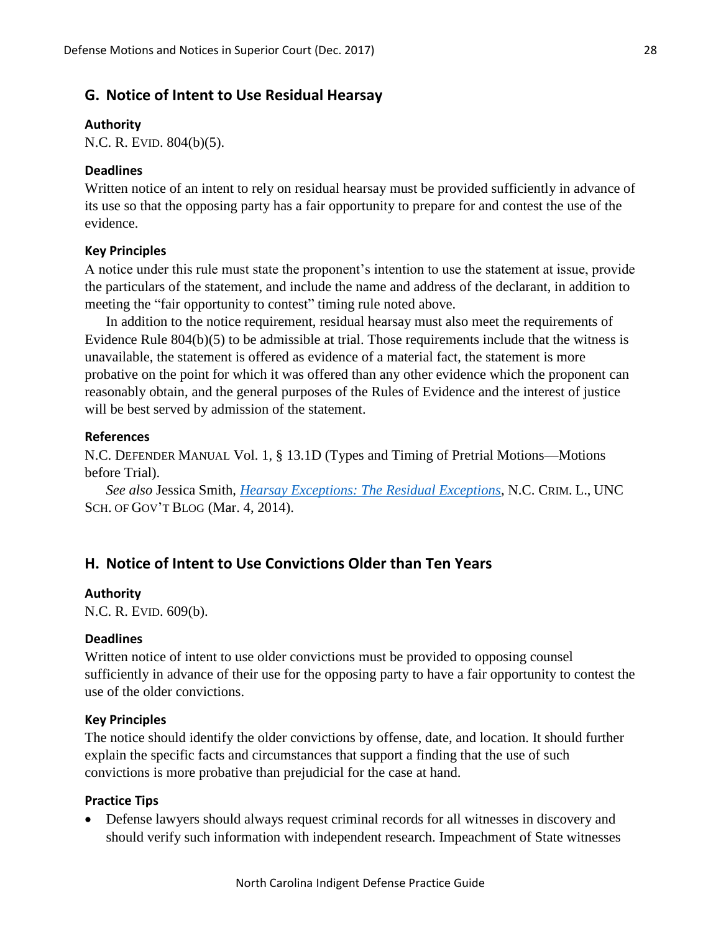## **G. Notice of Intent to Use Residual Hearsay**

#### **Authority**

N.C. R. EVID. 804(b)(5).

### **Deadlines**

Written notice of an intent to rely on residual hearsay must be provided sufficiently in advance of its use so that the opposing party has a fair opportunity to prepare for and contest the use of the evidence.

#### **Key Principles**

A notice under this rule must state the proponent's intention to use the statement at issue, provide the particulars of the statement, and include the name and address of the declarant, in addition to meeting the "fair opportunity to contest" timing rule noted above.

In addition to the notice requirement, residual hearsay must also meet the requirements of Evidence Rule 804(b)(5) to be admissible at trial. Those requirements include that the witness is unavailable, the statement is offered as evidence of a material fact, the statement is more probative on the point for which it was offered than any other evidence which the proponent can reasonably obtain, and the general purposes of the Rules of Evidence and the interest of justice will be best served by admission of the statement.

### **References**

N.C. DEFENDER MANUAL Vol. 1, § 13.1D (Types and Timing of Pretrial Motions—Motions before Trial).

*See also* Jessica Smith, *[Hearsay Exceptions: The Residual Exceptions](https://nccriminallaw.sog.unc.edu/hearsay-exceptions-the-residual-exceptions/)*, N.C. CRIM. L., UNC SCH. OF GOV'T BLOG (Mar. 4, 2014).

# **H. Notice of Intent to Use Convictions Older than Ten Years**

#### **Authority**

N.C. R. EVID. 609(b).

#### **Deadlines**

Written notice of intent to use older convictions must be provided to opposing counsel sufficiently in advance of their use for the opposing party to have a fair opportunity to contest the use of the older convictions.

### **Key Principles**

The notice should identify the older convictions by offense, date, and location. It should further explain the specific facts and circumstances that support a finding that the use of such convictions is more probative than prejudicial for the case at hand.

#### **Practice Tips**

 Defense lawyers should always request criminal records for all witnesses in discovery and should verify such information with independent research. Impeachment of State witnesses